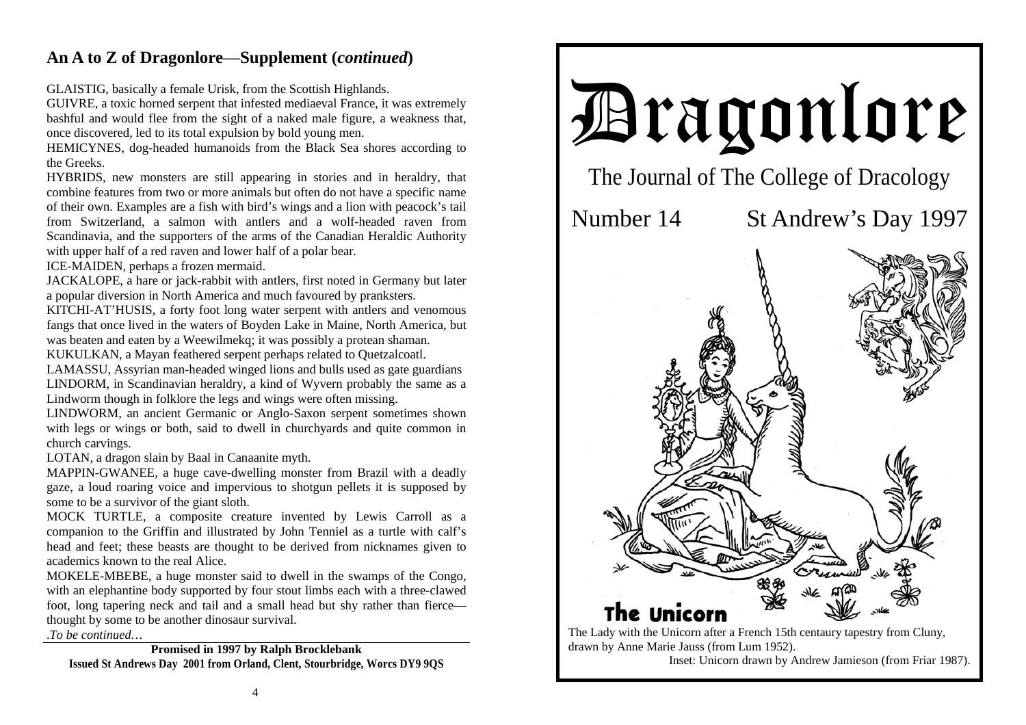## **An A to Z of Dragonlore**—**Supplement (***continued***)**

GLAISTIG, basically a female Urisk, from the Scottish Highlands.

GUIVRE, a toxic horned serpent that infested mediaeval France, it was extremely bashful and would flee from the sight of a naked male figure, a weakness that, once discovered, led to its total expulsion by bold young men.

HEMICYNES, dog-headed humanoids from the Black Sea shores according to the Greeks.

HYBRIDS, new monsters are still appearing in stories and in heraldry, that combine features from two or more animals but often do not have a specific name of their own. Examples are a fish with bird's wings and a lion with peacock's tail from Switzerland, a salmon with antlers and a wolf-headed raven from Scandinavia, and the supporters of the arms of the Canadian Heraldic Authority with upper half of a red raven and lower half of a polar bear.

ICE-MAIDEN, perhaps a frozen mermaid.

JACKALOPE, a hare or jack-rabbit with antlers, first noted in Germany but later a popular diversion in North America and much favoured by pranksters.

KITCHI-AT'HUSIS, a forty foot long water serpent with antlers and venomous fangs that once lived in the waters of Boyden Lake in Maine, North America, but was beaten and eaten by a Weewilmekq; it was possibly a protean shaman. KUKULKAN, a Mayan feathered serpent perhaps related to Quetzalcoatl.

LAMASSU, Assyrian man-headed winged lions and bulls used as gate guardians LINDORM, in Scandinavian heraldry, a kind of Wyvern probably the same as a Lindworm though in folklore the legs and wings were often missing.

LINDWORM, an ancient Germanic or Anglo-Saxon serpent sometimes shown with legs or wings or both, said to dwell in churchyards and quite common in church carvings.

LOTAN, a dragon slain by Baal in Canaanite myth.

MAPPIN-GWANEE, a huge cave-dwelling monster from Brazil with a deadly gaze, a loud roaring voice and impervious to shotgun pellets it is supposed by some to be a survivor of the giant sloth.

MOCK TURTLE, a composite creature invented by Lewis Carroll as a companion to the Griffin and illustrated by John Tenniel as a turtle with calf's head and feet; these beasts are thought to be derived from nicknames given to academics known to the real Alice.

MOKELE-MBEBE, a huge monster said to dwell in the swamps of the Congo, with an elephantine body supported by four stout limbs each with a three-clawed foot, long tapering neck and tail and a small head but shy rather than fierce thought by some to be another dinosaur survival.

.*To be continued…* 

**Promised in 1997 by Ralph Brocklebank Issued St Andrews Day 2001 from Orland, Clent, Stourbridge, Worcs DY9 9QS** 



drawn by Anne Marie Jauss (from Lum 1952). Inset: Unicorn drawn by Andrew Jamieson (from Friar 1987).